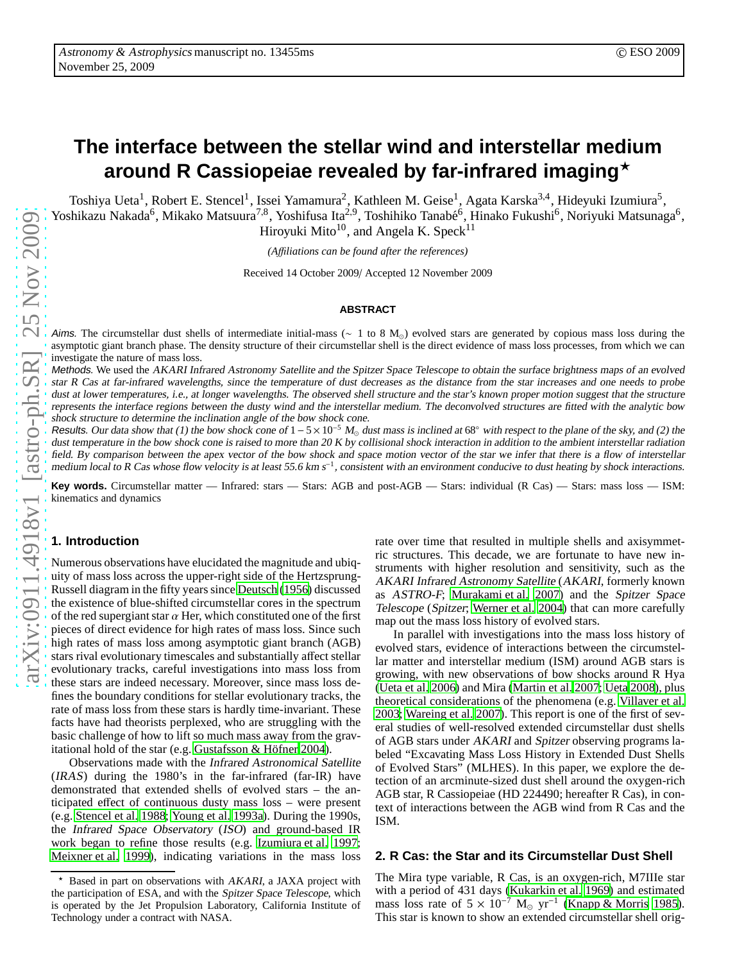# **The interface between the stellar wind and interstellar medium around R Cassiopeiae revealed by far-infrared imaging**<sup>⋆</sup>

Toshiya Ueta<sup>1</sup>, Robert E. Stencel<sup>1</sup>, Issei Yamamura<sup>2</sup>, Kathleen M. Geise<sup>1</sup>, Agata Karska<sup>3,4</sup>, Hideyuki Izumiura<sup>5</sup>, Yoshikazu Nakada<sup>6</sup>, Mikako Matsuura<sup>7,8</sup>, Yoshifusa Ita<sup>2,9</sup>, Toshihiko Tanabé<sup>6</sup>, Hinako Fukushi<sup>6</sup>, Noriyuki Matsunaga<sup>6</sup>, Hiroyuki Mito<sup>10</sup>, and Angela K. Speck<sup>11</sup>

*(A*ffi*liations can be found after the references)*

Received 14 October 2009/ Accepted 12 November 2009

#### **ABSTRACT**

Aims. The circumstellar dust shells of intermediate initial-mass ( $\sim 1$  to 8 M<sub>☉</sub>) evolved stars are generated by copious mass loss during the asymptotic giant branch phase. The density structure of their circumstellar shell is the direct evidence of mass loss processes, from which we can investigate the nature of mass loss.

Methods. We used the AKARI Infrared Astronomy Satellite and the Spitzer Space Telescope to obtain the surface brightness maps of an evolved star <sup>R</sup> Cas at far-infrared wavelengths, since the temperature of dust decreases as the distance from the star increases and one needs to probe dust at lower temperatures, i.e., at longer wavelengths. The observed shell structure and the star's known proper motion suggest that the structure represents the interface regions between the dusty wind and the interstellar medium. The deconvolved structures are fitted with the analytic bow shock structure to determine the inclination angle of the bow shock cone.

Results. Our data show that (1) the bow shock cone of  $1-5\times10^{-5}$  M<sub>☉</sub> dust mass is inclined at 68° with respect to the plane of the sky, and (2) the dust temperature in the bow shock cone is raised to more than 20 K by collisional shock interaction in addition to the ambient interstellar radiation field. By comparison between the apex vector of the bow shock and space motion vector of the star we infer that there is a flow of interstellar medium local to R Cas whose flow velocity is at least 55.6 km s<sup>-1</sup>, consistent with an environment conducive to dust heating by shock interactions.

**Key words.** Circumstellar matter — Infrared: stars — Stars: AGB and post-AGB — Stars: individual (R Cas) — Stars: mass loss — ISM: kinematics and dynamics

## **1. Introduction**

Numerous observations have elucidated the magnitude and ubiquity of mass loss across the upper-right side of the Hertzsprung-Russell diagram in the fifty years since [Deutsch](#page-4-0) [\(1956\)](#page-4-0) discussed the existence of blue-shifted circumstellar cores in the spectrum of the red supergiant star  $\alpha$  Her, which constituted one of the first pieces of direct evidence for high rates of mass loss. Since such high rates of mass loss among asymptotic giant branch (AGB) stars rival evolutionary timescales and substantially affect stellar evolutionary tracks, careful investigations into mass loss from these stars are indeed necessary. Moreover, since mass loss defines the boundary conditions for stellar evolutionary tracks, the rate of mass loss from these stars is hardly time-invariant. These facts have had theorists perplexed, who are struggling with the basic challenge of how to lift so much mass away from the gravitational hold of the star (e.g. Gustafsson  $&$  Höfner 2004).

Observations made with the Infrared Astronomical Satellite (IRAS) during the 1980's in the far-infrared (far-IR) have demonstrated that extended shells of evolved stars – the anticipated effect of continuous dusty mass loss – were present (e.g. [Stencel et al. 1988](#page-4-2); [Young et al. 1993a\)](#page-4-3). During the 1990s, the Infrared Space Observatory (ISO) and ground-based IR work began to refine those results (e.g. [Izumiura et al. 1997](#page-4-4); [Meixner et al. 1999](#page-4-5)), indicating variations in the mass loss rate over time that resulted in multiple shells and axisymmetric structures. This decade, we are fortunate to have new instruments with higher resolution and sensitivity, such as the AKARI Infrared Astronomy Satellite (AKARI, formerly known as ASTRO-F; [Murakami et al. 2007\)](#page-4-6) and the Spitzer Space Telescope (Spitzer; [Werner et al. 2004](#page-4-7)) that can more carefully map out the mass loss history of evolved stars.

In parallel with investigations into the mass loss history of evolved stars, evidence of interactions between the circumstellar matter and interstellar medium (ISM) around AGB stars is growing, with new observations of bow shocks around R Hya [\(Ueta et al. 2006](#page-4-8)) and Mira [\(Martin et al. 2007](#page-4-9); [Ueta 2008](#page-4-10)), plus theoretical considerations of the phenomena (e.g. [Villaver et al.](#page-4-11) [2003;](#page-4-11) [Wareing et al. 2007\)](#page-4-12). This report is one of the first of several studies of well-resolved extended circumstellar dust shells of AGB stars under AKARI and Spitzer observing programs labeled "Excavating Mass Loss History in Extended Dust Shells of Evolved Stars" (MLHES). In this paper, we explore the detection of an arcminute-sized dust shell around the oxygen-rich AGB star, R Cassiopeiae (HD 224490; hereafter R Cas), in context of interactions between the AGB wind from R Cas and the ISM.

## **2. R Cas: the Star and its Circumstellar Dust Shell**

The Mira type variable, R Cas, is an oxygen-rich, M7IIIe star with a period of 431 days [\(Kukarkin et al. 1969\)](#page-4-13) and estimated mass loss rate of  $5 \times 10^{-7}$  M<sub>☉</sub> yr<sup>-1</sup> [\(Knapp & Morris 1985\)](#page-4-14). This star is known to show an extended circumstellar shell orig-

Based in part on observations with AKARI, a JAXA project with the participation of ESA, and with the Spitzer Space Telescope, which is operated by the Jet Propulsion Laboratory, California Institute of Technology under a contract with NASA.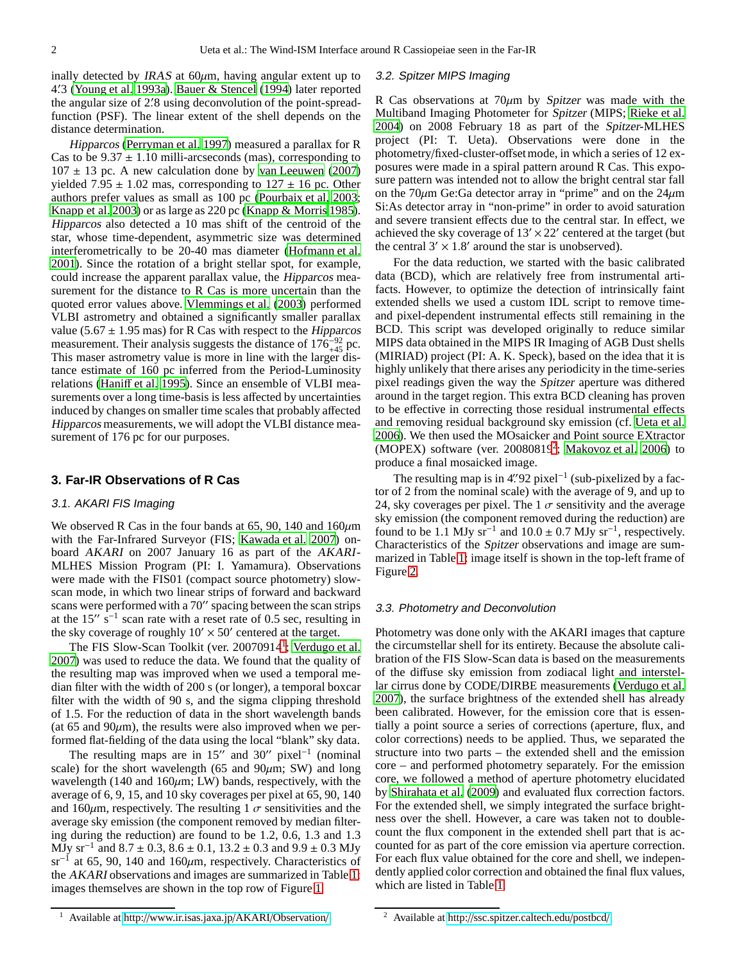inally detected by IRAS at  $60\mu$ m, having angular extent up to 4. ′3 [\(Young et al. 1993a\)](#page-4-3). [Bauer & Stencel \(1994](#page-4-15)) later reported the angular size of 2. ′8 using deconvolution of the point-spreadfunction (PSF). The linear extent of the shell depends on the distance determination.

Hipparcos [\(Perryman et al. 1997](#page-4-16)) measured a parallax for R Cas to be  $9.37 \pm 1.10$  milli-arcseconds (mas), corresponding to  $107 \pm 13$  pc. A new calculation done by [van Leeuwen](#page-4-17) [\(2007\)](#page-4-17) yielded 7.95  $\pm$  1.02 mas, corresponding to 127  $\pm$  16 pc. Other authors prefer values as small as 100 pc [\(Pourbaix et al, 2003](#page-4-18); [Knapp et al. 2003\)](#page-4-19) or as large as 220 pc [\(Knapp & Morris 1985](#page-4-14)). Hipparcos also detected a 10 mas shift of the centroid of the star, whose time-dependent, asymmetric size was determined interferometrically to be 20-40 mas diameter [\(Hofmann et al.](#page-4-20) [2001](#page-4-20)). Since the rotation of a bright stellar spot, for example, could increase the apparent parallax value, the Hipparcos measurement for the distance to R Cas is more uncertain than the quoted error values above. [Vlemmings et al.](#page-4-21) [\(2003\)](#page-4-21) performed VLBI astrometry and obtained a significantly smaller parallax value (5.67  $\pm$  1.95 mas) for R Cas with respect to the Hipparcos measurement. Their analysis suggests the distance of  $176_{+45}^{-92}$  pc. This maser astrometry value is more in line with the larger distance estimate of 160 pc inferred from the Period-Luminosity relations [\(Hani](#page-4-22)ff et al. [1995\)](#page-4-22). Since an ensemble of VLBI measurements over a long time-basis is less affected by uncertainties induced by changes on smaller time scales that probably affected Hipparcos measurements, we will adopt the VLBI distance measurement of 176 pc for our purposes.

## **3. Far-IR Observations of R Cas**

#### 3.1. AKARI FIS Imaging

We observed R Cas in the four bands at 65, 90, 140 and  $160 \mu m$ with the Far-Infrared Surveyor (FIS; [Kawada et al. 2007](#page-4-23)) onboard AKARI on 2007 January 16 as part of the AKARI-MLHES Mission Program (PI: I. Yamamura). Observations were made with the FIS01 (compact source photometry) slowscan mode, in which two linear strips of forward and backward scans were performed with a 70′′ spacing between the scan strips at the 15"  $s^{-1}$  scan rate with a reset rate of 0.5 sec, resulting in the sky coverage of roughly  $10' \times 50'$  centered at the target.

The FIS Slow-Scan Toolkit (ver. 200709[1](#page-1-0)4<sup>1</sup>; [Verdugo et al.](#page-4-24) [2007](#page-4-24)) was used to reduce the data. We found that the quality of the resulting map was improved when we used a temporal median filter with the width of 200 s (or longer), a temporal boxcar filter with the width of 90 s, and the sigma clipping threshold of 1.5. For the reduction of data in the short wavelength bands (at 65 and 90 $\mu$ m), the results were also improved when we performed flat-fielding of the data using the local "blank" sky data.

The resulting maps are in  $15''$  and  $30''$  pixel<sup>-1</sup> (nominal scale) for the short wavelength (65 and 90 $\mu$ m; SW) and long wavelength (140 and 160 $\mu$ m; LW) bands, respectively, with the average of 6, 9, 15, and 10 sky coverages per pixel at 65, 90, 140 and 160 $\mu$ m, respectively. The resulting 1  $\sigma$  sensitivities and the average sky emission (the component removed by median filtering during the reduction) are found to be 1.2, 0.6, 1.3 and 1.3 MJy sr<sup>-1</sup> and  $8.7 \pm 0.3$ ,  $8.6 \pm 0.1$ ,  $13.2 \pm 0.3$  and  $9.9 \pm 0.3$  MJy sr−<sup>1</sup> at 65, 90, 140 and 160µm, respectively. Characteristics of the AKARI observations and images are summarized in Table [1:](#page-5-0) images themselves are shown in the top row of Figure [1.](#page-5-1)

#### 3.2. Spitzer MIPS Imaging

R Cas observations at  $70\mu m$  by Spitzer was made with the Multiband Imaging Photometer for Spitzer (MIPS; [Rieke et al.](#page-4-25) [2004\)](#page-4-25) on 2008 February 18 as part of the Spitzer-MLHES project (PI: T. Ueta). Observations were done in the photometry/fixed-cluster-offset mode, in which a series of 12 exposures were made in a spiral pattern around R Cas. This exposure pattern was intended not to allow the bright central star fall on the  $70\mu$ m Ge:Ga detector array in "prime" and on the  $24\mu$ m Si:As detector array in "non-prime" in order to avoid saturation and severe transient effects due to the central star. In effect, we achieved the sky coverage of  $13' \times 22'$  centered at the target (but the central  $3' \times 1.8'$  around the star is unobserved).

For the data reduction, we started with the basic calibrated data (BCD), which are relatively free from instrumental artifacts. However, to optimize the detection of intrinsically faint extended shells we used a custom IDL script to remove timeand pixel-dependent instrumental effects still remaining in the BCD. This script was developed originally to reduce similar MIPS data obtained in the MIPS IR Imaging of AGB Dust shells (MIRIAD) project (PI: A. K. Speck), based on the idea that it is highly unlikely that there arises any periodicity in the time-series pixel readings given the way the Spitzer aperture was dithered around in the target region. This extra BCD cleaning has proven to be effective in correcting those residual instrumental effects and removing residual background sky emission (cf. [Ueta et al.](#page-4-8) [2006\)](#page-4-8). We then used the MOsaicker and Point source EXtractor (MOPEX) software (ver.  $20080819^2$  $20080819^2$ ; Makovoz et al.  $2006$ ) to produce a final mosaicked image.

The resulting map is in  $4$ ".  $92$  pixel $^{-1}$  (sub-pixelized by a factor of 2 from the nominal scale) with the average of 9, and up to 24, sky coverages per pixel. The 1  $\sigma$  sensitivity and the average sky emission (the component removed during the reduction) are found to be 1.1 MJy sr<sup>-1</sup> and  $10.0 \pm 0.7$  MJy sr<sup>-1</sup>, respectively. Characteristics of the Spitzer observations and image are summarized in Table [1:](#page-5-0) image itself is shown in the top-left frame of Figure [2.](#page-6-0)

#### 3.3. Photometry and Deconvolution

Photometry was done only with the AKARI images that capture the circumstellar shell for its entirety. Because the absolute calibration of the FIS Slow-Scan data is based on the measurements of the diffuse sky emission from zodiacal light and interstellar cirrus done by CODE/DIRBE measurements [\(Verdugo et al.](#page-4-24) [2007\)](#page-4-24), the surface brightness of the extended shell has already been calibrated. However, for the emission core that is essentially a point source a series of corrections (aperture, flux, and color corrections) needs to be applied. Thus, we separated the structure into two parts – the extended shell and the emission core – and performed photometry separately. For the emission core, we followed a method of aperture photometry elucidated by [Shirahata et al.](#page-4-27) [\(2009\)](#page-4-27) and evaluated flux correction factors. For the extended shell, we simply integrated the surface brightness over the shell. However, a care was taken not to doublecount the flux component in the extended shell part that is accounted for as part of the core emission via aperture correction. For each flux value obtained for the core and shell, we independently applied color correction and obtained the final flux values, which are listed in Table [1.](#page-5-0)

<span id="page-1-0"></span><sup>1</sup> Available at http://[www.ir.isas.jaxa.jp](http://www.ir.isas.jaxa.jp/AKARI/Observation/)/AKARI/Observation/

<span id="page-1-1"></span><sup>2</sup> Available at http://[ssc.spitzer.caltech.edu](http://ssc.spitzer.caltech.edu/postbcd/)/postbcd/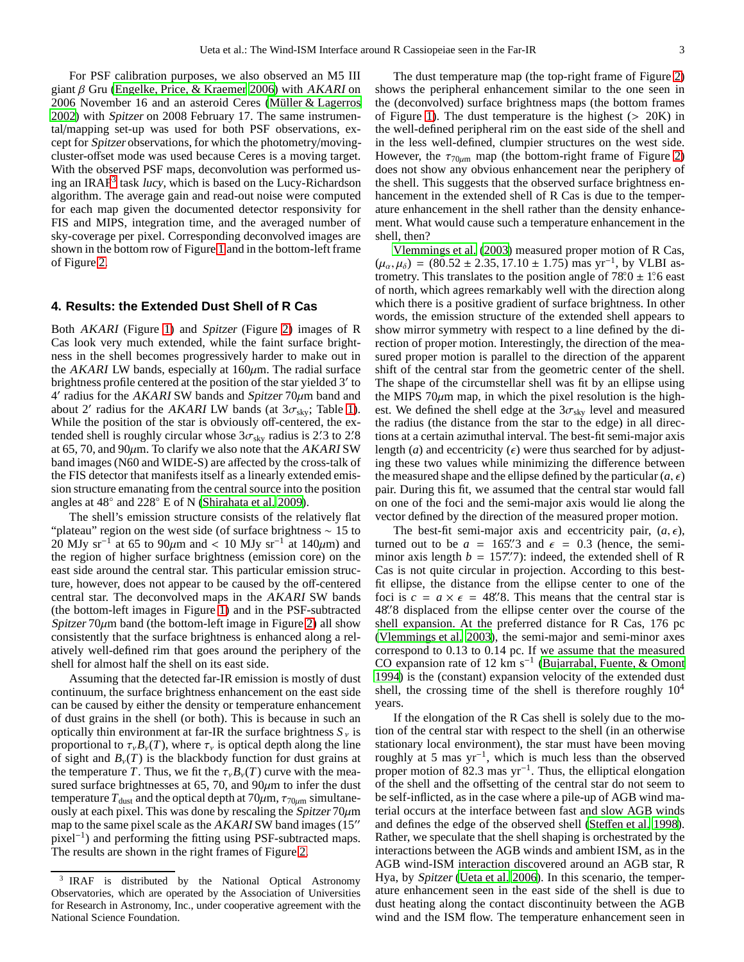For PSF calibration purposes, we also observed an M5 III giant  $\beta$  Gru [\(Engelke, Price, & Kraemer 2006\)](#page-4-28) with AKARI on 2006 November 16 and an asteroid Ceres (Müller & Lagerros [2002](#page-4-29)) with Spitzer on 2008 February 17. The same instrumental/mapping set-up was used for both PSF observations, except for Spitzer observations, for which the photometry/movingcluster-offset mode was used because Ceres is a moving target. With the observed PSF maps, deconvolution was performed us-ing an IRAF<sup>[3](#page-2-0)</sup> task lucy, which is based on the Lucy-Richardson algorithm. The average gain and read-out noise were computed for each map given the documented detector responsivity for FIS and MIPS, integration time, and the averaged number of sky-coverage per pixel. Corresponding deconvolved images are shown in the bottom row of Figure [1](#page-5-1) and in the bottom-left frame of Figure [2.](#page-6-0)

### **4. Results: the Extended Dust Shell of R Cas**

Both AKARI (Figure [1\)](#page-5-1) and Spitzer (Figure [2\)](#page-6-0) images of R Cas look very much extended, while the faint surface brightness in the shell becomes progressively harder to make out in the AKARI LW bands, especially at  $160 \mu m$ . The radial surface brightness profile centered at the position of the star yielded 3′ to 4 ′ radius for the AKARI SW bands and Spitzer 70µm band and about 2' radius for the AKARI LW bands (at  $3\sigma_{sky}$ ; Table [1\)](#page-5-0). While the position of the star is obviously off-centered, the extended shell is roughly circular whose  $3\sigma_{sky}$  radius is 2. 3 to 2. 8 at 65, 70, and 90 $\mu$ m. To clarify we also note that the AKARI SW band images (N60 and WIDE-S) are affected by the cross-talk of the FIS detector that manifests itself as a linearly extended emission structure emanating from the central source into the position angles at 48◦ and 228◦ E of N [\(Shirahata et al. 2009\)](#page-4-27).

The shell's emission structure consists of the relatively flat "plateau" region on the west side (of surface brightness ∼ 15 to 20 MJy sr<sup>-1</sup> at 65 to 90 $\mu$ m and < 10 MJy sr<sup>-1</sup> at 140 $\mu$ m) and the region of higher surface brightness (emission core) on the east side around the central star. This particular emission structure, however, does not appear to be caused by the off-centered central star. The deconvolved maps in the AKARI SW bands (the bottom-left images in Figure [1\)](#page-5-1) and in the PSF-subtracted Spitzer  $70\mu$ m band (the bottom-left image in Figure [2\)](#page-6-0) all show consistently that the surface brightness is enhanced along a relatively well-defined rim that goes around the periphery of the shell for almost half the shell on its east side.

Assuming that the detected far-IR emission is mostly of dust continuum, the surface brightness enhancement on the east side can be caused by either the density or temperature enhancement of dust grains in the shell (or both). This is because in such an optically thin environment at far-IR the surface brightness  $S<sub>v</sub>$  is proportional to  $\tau_{\nu}B_{\nu}(T)$ , where  $\tau_{\nu}$  is optical depth along the line of sight and  $B_{\nu}(T)$  is the blackbody function for dust grains at the temperature *T*. Thus, we fit the  $\tau_{\nu}B_{\nu}(T)$  curve with the measured surface brightnesses at 65, 70, and  $90\mu$ m to infer the dust temperature  $T_{\text{dust}}$  and the optical depth at 70 $\mu$ m,  $\tau_{70\mu\text{m}}$  simultaneously at each pixel. This was done by rescaling the Spitzer  $70 \mu m$ map to the same pixel scale as the AKARI SW band images (15′′ pixel<sup>-1</sup>) and performing the fitting using PSF-subtracted maps. The results are shown in the right frames of Figure [2.](#page-6-0)

The dust temperature map (the top-right frame of Figure [2\)](#page-6-0) shows the peripheral enhancement similar to the one seen in the (deconvolved) surface brightness maps (the bottom frames of Figure [1\)](#page-5-1). The dust temperature is the highest  $(> 20K)$  in the well-defined peripheral rim on the east side of the shell and in the less well-defined, clumpier structures on the west side. However, the  $\tau_{70\mu m}$  map (the bottom-right frame of Figure [2\)](#page-6-0) does not show any obvious enhancement near the periphery of the shell. This suggests that the observed surface brightness enhancement in the extended shell of R Cas is due to the temperature enhancement in the shell rather than the density enhancement. What would cause such a temperature enhancement in the shell, then?

[Vlemmings et al. \(2003\)](#page-4-21) measured proper motion of R Cas,  $(\mu_{\alpha}, \mu_{\delta}) = (80.52 \pm 2.35, 17.10 \pm 1.75)$  mas yr<sup>-1</sup>, by VLBI astrometry. This translates to the position angle of  $78^\circ \cdot 0 \pm 1^\circ \cdot 6$  east of north, which agrees remarkably well with the direction along which there is a positive gradient of surface brightness. In other words, the emission structure of the extended shell appears to show mirror symmetry with respect to a line defined by the direction of proper motion. Interestingly, the direction of the measured proper motion is parallel to the direction of the apparent shift of the central star from the geometric center of the shell. The shape of the circumstellar shell was fit by an ellipse using the MIPS 70 $\mu$ m map, in which the pixel resolution is the highest. We defined the shell edge at the  $3\sigma_{sky}$  level and measured the radius (the distance from the star to the edge) in all directions at a certain azimuthal interval. The best-fit semi-major axis length (*a*) and eccentricity ( $\epsilon$ ) were thus searched for by adjusting these two values while minimizing the difference between the measured shape and the ellipse defined by the particular  $(a, \epsilon)$ pair. During this fit, we assumed that the central star would fall on one of the foci and the semi-major axis would lie along the vector defined by the direction of the measured proper motion.

The best-fit semi-major axis and eccentricity pair,  $(a, \epsilon)$ , turned out to be  $a = 165\rlap{.}^{\prime\prime}3$  and  $\epsilon = 0.3$  (hence, the semiminor axis length  $b = 157$ . indeed, the extended shell of R Cas is not quite circular in projection. According to this bestfit ellipse, the distance from the ellipse center to one of the foci is  $c = a \times \epsilon = 48$ . This means that the central star is 48". 488' displaced from the ellipse center over the course of the shell expansion. At the preferred distance for R Cas, 176 pc [\(Vlemmings et al. 2003](#page-4-21)), the semi-major and semi-minor axes correspond to 0.13 to 0.14 pc. If we assume that the measured CO expansion rate of 12 km s−<sup>1</sup> [\(Bujarrabal, Fuente, & Omont](#page-4-30) [1994\)](#page-4-30) is the (constant) expansion velocity of the extended dust shell, the crossing time of the shell is therefore roughly  $10<sup>4</sup>$ years.

If the elongation of the R Cas shell is solely due to the motion of the central star with respect to the shell (in an otherwise stationary local environment), the star must have been moving roughly at 5 mas yr−<sup>1</sup> , which is much less than the observed proper motion of 82.3 mas yr<sup>-1</sup>. Thus, the elliptical elongation of the shell and the offsetting of the central star do not seem to be self-inflicted, as in the case where a pile-up of AGB wind material occurs at the interface between fast and slow AGB winds and defines the edge of the observed shell (Steff[en et al. 1998\)](#page-4-31). Rather, we speculate that the shell shaping is orchestrated by the interactions between the AGB winds and ambient ISM, as in the AGB wind-ISM interaction discovered around an AGB star, R Hya, by Spitzer [\(Ueta et al. 2006\)](#page-4-8). In this scenario, the temperature enhancement seen in the east side of the shell is due to dust heating along the contact discontinuity between the AGB wind and the ISM flow. The temperature enhancement seen in

<span id="page-2-0"></span><sup>3</sup> IRAF is distributed by the National Optical Astronomy Observatories, which are operated by the Association of Universities for Research in Astronomy, Inc., under cooperative agreement with the National Science Foundation.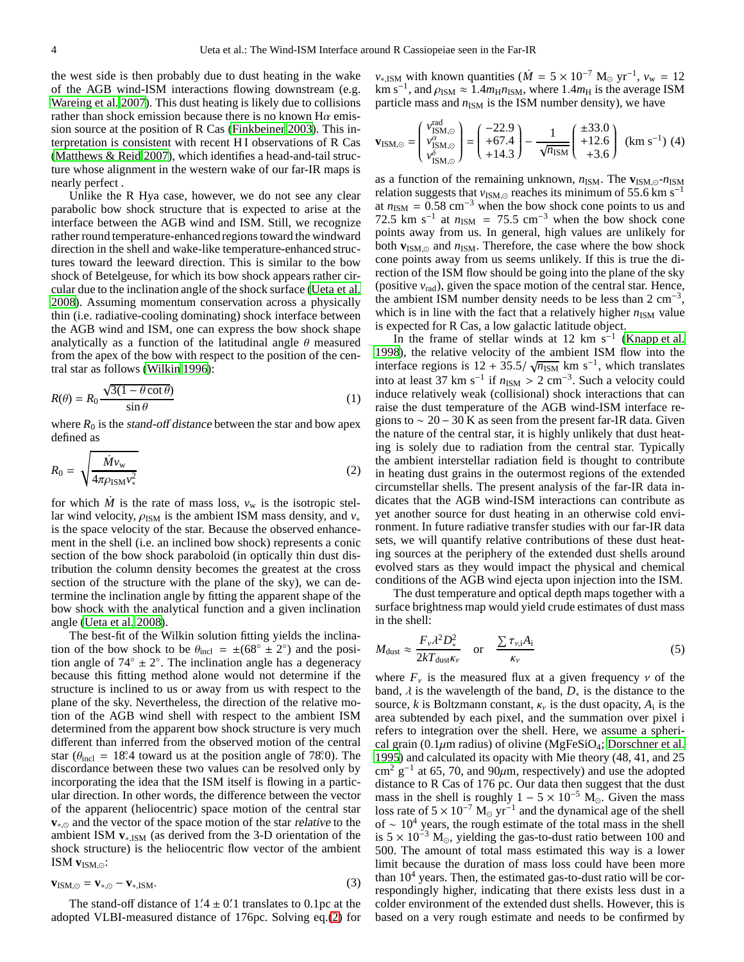the west side is then probably due to dust heating in the wake of the AGB wind-ISM interactions flowing downstream (e.g. [Wareing et al. 2007\)](#page-4-12). This dust heating is likely due to collisions rather than shock emission because there is no known  $H\alpha$  emission source at the position of R Cas [\(Finkbeiner 2003\)](#page-4-32). This interpretation is consistent with recent HI observations of R Cas [\(Matthews & Reid 2007\)](#page-4-33), which identifies a head-and-tail structure whose alignment in the western wake of our far-IR maps is nearly perfect .

Unlike the R Hya case, however, we do not see any clear parabolic bow shock structure that is expected to arise at the interface between the AGB wind and ISM. Still, we recognize rather round temperature-enhanced regions toward the windward direction in the shell and wake-like temperature-enhanced structures toward the leeward direction. This is similar to the bow shock of Betelgeuse, for which its bow shock appears rather circular due to the inclination angle of the shock surface [\(Ueta](#page-4-34) et al. [2008](#page-4-34)). Assuming momentum conservation across a physically thin (i.e. radiative-cooling dominating) shock interface between the AGB wind and ISM, one can express the bow shock shape analytically as a function of the latitudinal angle  $\theta$  measured from the apex of the bow with respect to the position of the central star as follows [\(Wilkin 1996\)](#page-4-35):

$$
R(\theta) = R_0 \frac{\sqrt{3(1 - \theta \cot \theta)}}{\sin \theta} \tag{1}
$$

where  $R_0$  is the *stand-off distance* between the star and bow apex defined as

<span id="page-3-0"></span>
$$
R_0 = \sqrt{\frac{\dot{M}v_{\rm w}}{4\pi\rho_{\rm ISM}v_*^2}}
$$
 (2)

for which *M* is the rate of mass loss,  $v_w$  is the isotropic stellar wind velocity,  $\rho_{ISM}$  is the ambient ISM mass density, and  $v_*$ is the space velocity of the star. Because the observed enhancement in the shell (i.e. an inclined bow shock) represents a conic section of the bow shock paraboloid (in optically thin dust distribution the column density becomes the greatest at the cross section of the structure with the plane of the sky), we can determine the inclination angle by fitting the apparent shape of the bow shock with the analytical function and a given inclination angle [\(Ueta et al. 2008\)](#page-4-34).

The best-fit of the Wilkin solution fitting yields the inclination of the bow shock to be  $\theta_{\text{incl}} = \pm (68^\circ \pm 2^\circ)$  and the position angle of  $74^\circ \pm 2^\circ$ . The inclination angle has a degeneracy because this fitting method alone would not determine if the structure is inclined to us or away from us with respect to the plane of the sky. Nevertheless, the direction of the relative motion of the AGB wind shell with respect to the ambient ISM determined from the apparent bow shock structure is very much different than inferred from the observed motion of the central star ( $\theta_{\text{incl}} = 18^\circ$ .4 toward us at the position angle of 78°.0). The discordance between these two values can be resolved only by incorporating the idea that the ISM itself is flowing in a particular direction. In other words, the difference between the vector of the apparent (heliocentric) space motion of the central star **v**<sub>∗,⊙</sub> and the vector of the space motion of the star relative to the ambient ISM **v**∗,ISM (as derived from the 3-D orientation of the shock structure) is the heliocentric flow vector of the ambient ISM  $$ 

$$
\mathbf{v}_{\text{ISM},\odot} = \mathbf{v}_{*,\odot} - \mathbf{v}_{*,\text{ISM}}.\tag{3}
$$

The stand-off distance of  $1/4 \pm 0/1$  translates to 0.1pc at the adopted VLBI-measured distance of 176pc. Solving eq.[\(2\)](#page-3-0) for

 $v_{\rm *}$ <sub>ISM</sub> with known quantities ( $\dot{M} = 5 \times 10^{-7}$  M<sub>☉</sub> yr<sup>-1</sup>,  $v_{\rm w} = 12$  $\text{km s}^{-1}$ , and  $\rho_{\text{ISM}} \approx 1.4 m_{\text{H}} n_{\text{ISM}}$ , where 1.4 $m_{\text{H}}$  is the average ISM particle mass and  $n_{ISM}$  is the ISM number density), we have

$$
\mathbf{v}_{\text{ISM},\odot} = \begin{pmatrix} v_{\text{ISM},\odot}^{\text{rad}} \\ v_{\text{ISM},\odot}^{\alpha} \\ v_{\text{ISM},\odot}^{\alpha} \end{pmatrix} = \begin{pmatrix} -22.9 \\ +67.4 \\ +14.3 \end{pmatrix} - \frac{1}{\sqrt{n_{\text{ISM}}}} \begin{pmatrix} \pm 33.0 \\ +12.6 \\ +3.6 \end{pmatrix} \text{ (km s}^{-1}) \text{ (4)}
$$

as a function of the remaining unknown, *n*ISM. The **v**ISM,⊙-*n*ISM relation suggests that *v*<sub>ISM,⊙</sub> reaches its minimum of 55.6 km s<sup>−1</sup> at  $n_{ISM} = 0.58$  cm<sup>-3</sup> when the bow shock cone points to us and 72.5 km s<sup>-1</sup> at  $n_{ISM}$  = 75.5 cm<sup>-3</sup> when the bow shock cone points away from us. In general, high values are unlikely for both **v**ISM,<sup>⊙</sup> and *n*ISM. Therefore, the case where the bow shock cone points away from us seems unlikely. If this is true the direction of the ISM flow should be going into the plane of the sky (positive  $v_{rad}$ ), given the space motion of the central star. Hence, the ambient ISM number density needs to be less than 2 cm−<sup>3</sup> , which is in line with the fact that a relatively higher  $n_{ISM}$  value is expected for R Cas, a low galactic latitude object.

In the frame of stellar winds at 12 km s<sup>-1</sup> [\(Knapp et al.](#page-4-36) [1998\)](#page-4-36), the relative velocity of the ambient ISM flow into the interface regions is  $12 + 35.5/\sqrt{n_{\text{ISM}}}$  km s<sup>-1</sup>, which translates into at least 37 km s<sup>-1</sup> if  $n_{ISM} > 2$  cm<sup>-3</sup>. Such a velocity could induce relatively weak (collisional) shock interactions that can raise the dust temperature of the AGB wind-ISM interface regions to  $\sim 20 - 30$  K as seen from the present far-IR data. Given the nature of the central star, it is highly unlikely that dust heating is solely due to radiation from the central star. Typically the ambient interstellar radiation field is thought to contribute in heating dust grains in the outermost regions of the extended circumstellar shells. The present analysis of the far-IR data indicates that the AGB wind-ISM interactions can contribute as yet another source for dust heating in an otherwise cold environment. In future radiative transfer studies with our far-IR data sets, we will quantify relative contributions of these dust heating sources at the periphery of the extended dust shells around evolved stars as they would impact the physical and chemical conditions of the AGB wind ejecta upon injection into the ISM.

The dust temperature and optical depth maps together with a surface brightness map would yield crude estimates of dust mass in the shell:

$$
M_{\text{dust}} \approx \frac{F_{\nu} \lambda^2 D_{\ast}^2}{2kT_{\text{dust}} \kappa_{\nu}} \quad \text{or} \quad \frac{\sum \tau_{\nu,i} A_i}{\kappa_{\nu}}
$$
(5)

where  $F<sub>v</sub>$  is the measured flux at a given frequency  $v$  of the band,  $\lambda$  is the wavelength of the band,  $D_*$  is the distance to the source, *k* is Boltzmann constant,  $\kappa$ <sup>*v*</sup> is the dust opacity,  $A_i$  is the area subtended by each pixel, and the summation over pixel i refers to integration over the shell. Here, we assume a spherical grain (0.1 $\mu$ m radius) of olivine (MgFeSiO<sub>4</sub>; [Dorschner et al.](#page-4-37) [1995\)](#page-4-37) and calculated its opacity with Mie theory (48, 41, and 25 cm<sup>2</sup> g<sup>-1</sup> at 65, 70, and 90 $\mu$ m, respectively) and use the adopted distance to R Cas of 176 pc. Our data then suggest that the dust mass in the shell is roughly  $1 - 5 \times 10^{-5}$  M<sub>o</sub>. Given the mass loss rate of  $5 \times 10^{-7}$  M<sub>☉</sub> yr<sup>-1</sup> and the dynamical age of the shell of  $\sim 10^4$  years, the rough estimate of the total mass in the shell is  $5 \times 10^{-3}$  M<sub>☉</sub>, yielding the gas-to-dust ratio between 100 and 500. The amount of total mass estimated this way is a lower limit because the duration of mass loss could have been more than  $10<sup>4</sup>$  years. Then, the estimated gas-to-dust ratio will be correspondingly higher, indicating that there exists less dust in a colder environment of the extended dust shells. However, this is based on a very rough estimate and needs to be confirmed by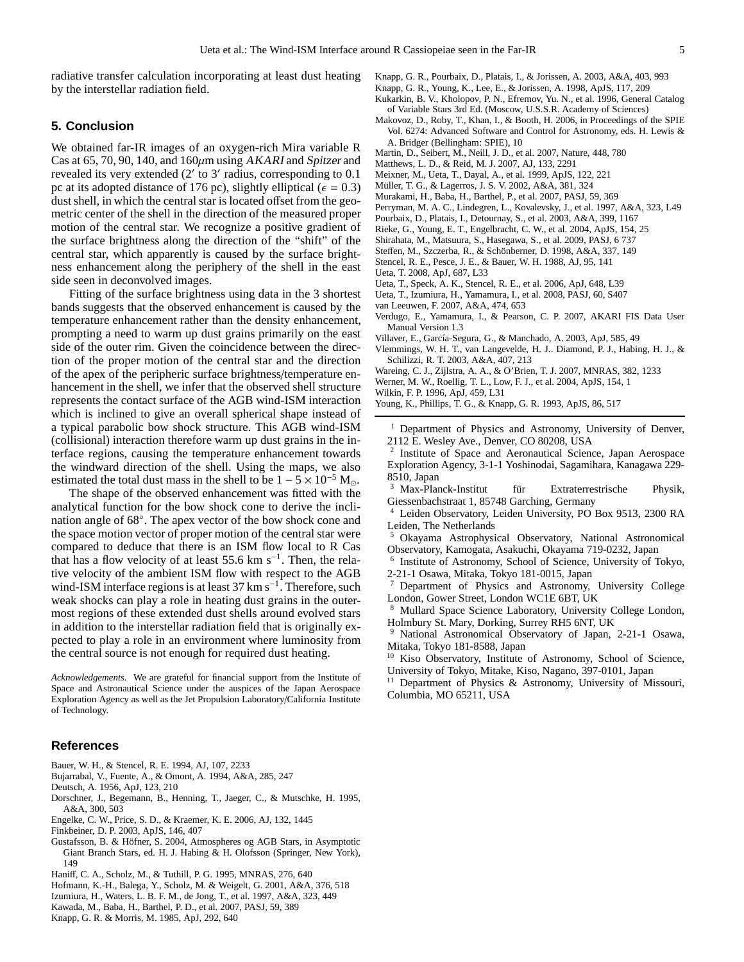radiative transfer calculation incorporating at least dust heating by the interstellar radiation field.

# **5. Conclusion**

We obtained far-IR images of an oxygen-rich Mira variable R Cas at 65, 70, 90, 140, and  $160 \mu m$  using AKARI and Spitzer and revealed its very extended (2′ to 3′ radius, corresponding to 0.1 pc at its adopted distance of 176 pc), slightly elliptical ( $\epsilon = 0.3$ ) dust shell, in which the central star is located offset from the geometric center of the shell in the direction of the measured proper motion of the central star. We recognize a positive gradient of the surface brightness along the direction of the "shift" of the central star, which apparently is caused by the surface brightness enhancement along the periphery of the shell in the east side seen in deconvolved images.

Fitting of the surface brightness using data in the 3 shortest bands suggests that the observed enhancement is caused by the temperature enhancement rather than the density enhancement, prompting a need to warm up dust grains primarily on the east side of the outer rim. Given the coincidence between the direction of the proper motion of the central star and the direction of the apex of the peripheric surface brightness/temperature enhancement in the shell, we infer that the observed shell structure represents the contact surface of the AGB wind-ISM interaction which is inclined to give an overall spherical shape instead of a typical parabolic bow shock structure. This AGB wind-ISM (collisional) interaction therefore warm up dust grains in the interface regions, causing the temperature enhancement towards the windward direction of the shell. Using the maps, we also estimated the total dust mass in the shell to be  $1 - 5 \times 10^{-5}$  M<sub>o</sub>.

The shape of the observed enhancement was fitted with the analytical function for the bow shock cone to derive the inclination angle of 68°. The apex vector of the bow shock cone and the space motion vector of proper motion of the central star were compared to deduce that there is an ISM flow local to R Cas that has a flow velocity of at least 55.6 km s<sup>-1</sup>. Then, the relative velocity of the ambient ISM flow with respect to the AGB wind-ISM interface regions is at least 37 km s<sup>-1</sup>. Therefore, such weak shocks can play a role in heating dust grains in the outermost regions of these extended dust shells around evolved stars in addition to the interstellar radiation field that is originally expected to play a role in an environment where luminosity from the central source is not enough for required dust heating.

*Acknowledgements.* We are grateful for financial support from the Institute of Space and Astronautical Science under the auspices of the Japan Aerospace Exploration Agency as well as the Jet Propulsion Laboratory/California Institute of Technology.

# **References**

- <span id="page-4-15"></span>Bauer, W. H., & Stencel, R. E. 1994, AJ, 107, 2233
- <span id="page-4-30"></span>Bujarrabal, V., Fuente, A., & Omont, A. 1994, A&A, 285, 247
- <span id="page-4-0"></span>Deutsch, A. 1956, ApJ, 123, 210
- <span id="page-4-37"></span>Dorschner, J., Begemann, B., Henning, T., Jaeger, C., & Mutschke, H. 1995, A&A, 300, 503
- <span id="page-4-28"></span>Engelke, C. W., Price, S. D., & Kraemer, K. E. 2006, AJ, 132, 1445
- <span id="page-4-32"></span>Finkbeiner, D. P. 2003, ApJS, 146, 407
- <span id="page-4-1"></span>Gustafsson, B. & Höfner, S. 2004, Atmospheres og AGB Stars, in Asymptotic Giant Branch Stars, ed. H. J. Habing & H. Olofsson (Springer, New York), 149
- <span id="page-4-22"></span>Haniff, C. A., Scholz, M., & Tuthill, P. G. 1995, MNRAS, 276, 640
- <span id="page-4-20"></span>Hofmann, K.-H., Balega, Y., Scholz, M. & Weigelt, G. 2001, A&A, 376, 518
- <span id="page-4-4"></span>Izumiura, H., Waters, L. B. F. M., de Jong, T., et al. 1997, A&A, 323, 449
- <span id="page-4-23"></span>Kawada, M., Baba, H., Barthel, P. D., et al. 2007, PASJ, 59, 389
- <span id="page-4-14"></span>Knapp, G. R. & Morris, M. 1985, ApJ, 292, 640
- <span id="page-4-19"></span>Knapp, G. R., Pourbaix, D., Platais, I., & Jorissen, A. 2003, A&A, 403, 993
- <span id="page-4-36"></span>Knapp, G. R., Young, K., Lee, E., & Jorissen, A. 1998, ApJS, 117, 209
- <span id="page-4-13"></span>Kukarkin, B. V., Kholopov, P. N., Efremov, Yu. N., et al. 1996, General Catalog of Variable Stars 3rd Ed. (Moscow, U.S.S.R. Academy of Sciences)
- <span id="page-4-26"></span>Makovoz, D., Roby, T., Khan, I., & Booth, H. 2006, in Proceedings of the SPIE Vol. 6274: Advanced Software and Control for Astronomy, eds. H. Lewis & A. Bridger (Bellingham: SPIE), 10
- <span id="page-4-9"></span>Martin, D., Seibert, M., Neill, J. D., et al. 2007, Nature, 448, 780
- <span id="page-4-33"></span>Matthews, L. D., & Reid, M. J. 2007, AJ, 133, 2291
- <span id="page-4-5"></span>Meixner, M., Ueta, T., Dayal, A., et al. 1999, ApJS, 122, 221
- <span id="page-4-29"></span>Müller, T. G., & Lagerros, J. S. V. 2002, A&A, 381, 324
- <span id="page-4-6"></span>Murakami, H., Baba, H., Barthel, P., et al. 2007, PASJ, 59, 369
- <span id="page-4-16"></span>Perryman, M. A. C., Lindegren, L., Kovalevsky, J., et al. 1997, A&A, 323, L49
- <span id="page-4-18"></span>Pourbaix, D., Platais, I., Detournay, S., et al. 2003, A&A, 399, 1167
- <span id="page-4-25"></span>Rieke, G., Young, E. T., Engelbracht, C. W., et al. 2004, ApJS, 154, 25
- <span id="page-4-27"></span>Shirahata, M., Matsuura, S., Hasegawa, S., et al. 2009, PASJ, 6 737
- <span id="page-4-31"></span>Steffen, M., Szczerba, R., & Schönberner, D. 1998, A&A, 337, 149
- <span id="page-4-2"></span>Stencel, R. E., Pesce, J. E., & Bauer, W. H. 1988, AJ, 95, 141
- <span id="page-4-10"></span>Ueta, T. 2008, ApJ, 687, L33
- <span id="page-4-8"></span>Ueta, T., Speck, A. K., Stencel, R. E., et al. 2006, ApJ, 648, L39
- <span id="page-4-34"></span>Ueta, T., Izumiura, H., Yamamura, I., et al. 2008, PASJ, 60, S407
- <span id="page-4-17"></span>van Leeuwen, F. 2007, A&A, 474, 653
- <span id="page-4-24"></span>Verdugo, E., Yamamura, I., & Pearson, C. P. 2007, AKARI FIS Data User Manual Version 1.3
- <span id="page-4-11"></span>Villaver, E., García-Segura, G., & Manchado, A. 2003, ApJ, 585, 49
- <span id="page-4-21"></span>Vlemmings, W. H. T., van Langevelde, H. J.. Diamond, P. J., Habing, H. J., & Schilizzi, R. T. 2003, A&A, 407, 213
- <span id="page-4-12"></span>Wareing, C. J., Zijlstra, A. A., & O'Brien, T. J. 2007, MNRAS, 382, 1233
- <span id="page-4-7"></span>Werner, M. W., Roellig, T. L., Low, F. J., et al. 2004, ApJS, 154, 1
- <span id="page-4-35"></span>Wilkin, F. P. 1996, ApJ, 459, L31
- <span id="page-4-3"></span>Young, K., Phillips, T. G., & Knapp, G. R. 1993, ApJS, 86, 517
	- <sup>1</sup> Department of Physics and Astronomy, University of Denver, 2112 E. Wesley Ave., Denver, CO 80208, USA
	- <sup>2</sup> Institute of Space and Aeronautical Science, Japan Aerospace Exploration Agency, 3-1-1 Yoshinodai, Sagamihara, Kanagawa 229- 8510, Japan
	- Max-Planck-Institut für Extraterrestrische Physik, Giessenbachstraat 1, 85748 Garching, Germany
	- <sup>4</sup> Leiden Observatory, Leiden University, PO Box 9513, 2300 RA Leiden, The Netherlands
	- <sup>5</sup> Okayama Astrophysical Observatory, National Astronomical Observatory, Kamogata, Asakuchi, Okayama 719-0232, Japan
	- 6 Institute of Astronomy, School of Science, University of Tokyo, 2-21-1 Osawa, Mitaka, Tokyo 181-0015, Japan
	- <sup>7</sup> Department of Physics and Astronomy, University College London, Gower Street, London WC1E 6BT, UK
	- Mullard Space Science Laboratory, University College London, Holmbury St. Mary, Dorking, Surrey RH5 6NT, UK
	- <sup>9</sup> National Astronomical Observatory of Japan, 2-21-1 Osawa, Mitaka, Tokyo 181-8588, Japan
	- <sup>10</sup> Kiso Observatory, Institute of Astronomy, School of Science, University of Tokyo, Mitake, Kiso, Nagano, 397-0101, Japan
	- <sup>11</sup> Department of Physics & Astronomy, University of Missouri, Columbia, MO 65211, USA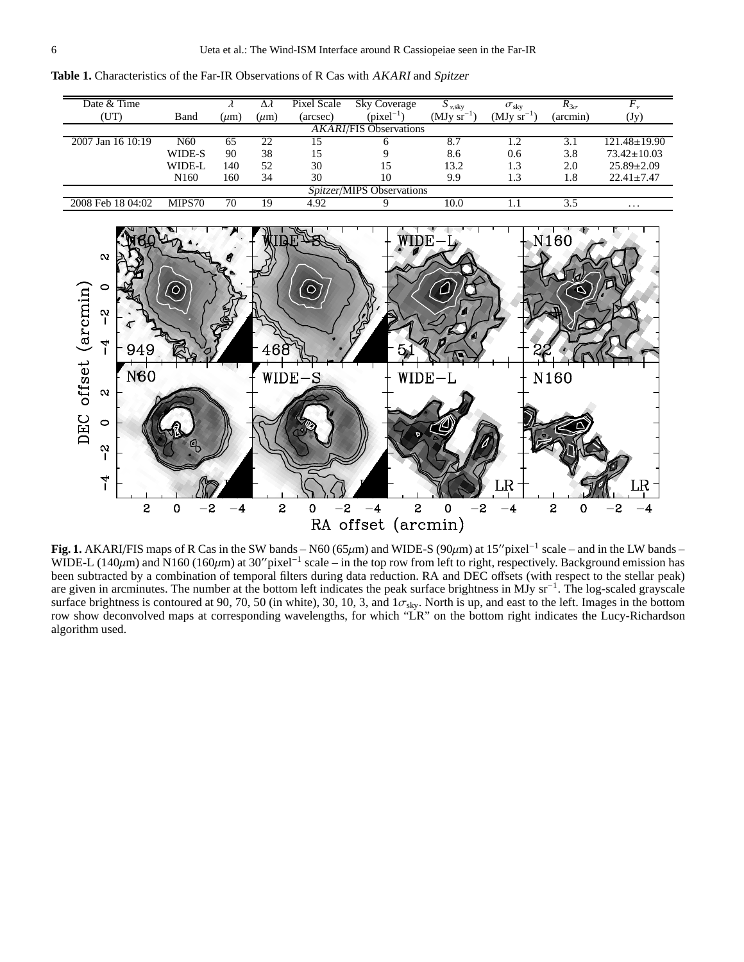<span id="page-5-0"></span>

**Table 1.** Characteristics of the Far-IR Observations of R Cas with AKARI and Spitzer

<span id="page-5-1"></span>**Fig. 1.** AKARI/FIS maps of R Cas in the SW bands – N60 (65μm) and WIDE-S (90μm) at 15″pixel<sup>-1</sup> scale – and in the LW bands – WIDE-L (140 $\mu$ m) and N160 (160 $\mu$ m) at 30″ pixel<sup>-1</sup> scale – in the top row from left to right, respectively. Background emission has been subtracted by a combination of temporal filters during data reduction. RA and DEC offsets (with respect to the stellar peak) are given in arcminutes. The number at the bottom left indicates the peak surface brightness in MJy sr−<sup>1</sup> . The log-scaled grayscale surface brightness is contoured at 90, 70, 50 (in white), 30, 10, 3, and  $1\sigma_{sky}$ . North is up, and east to the left. Images in the bottom row show deconvolved maps at corresponding wavelengths, for which "LR" on the bottom right indicates the Lucy-Richardson algorithm used.